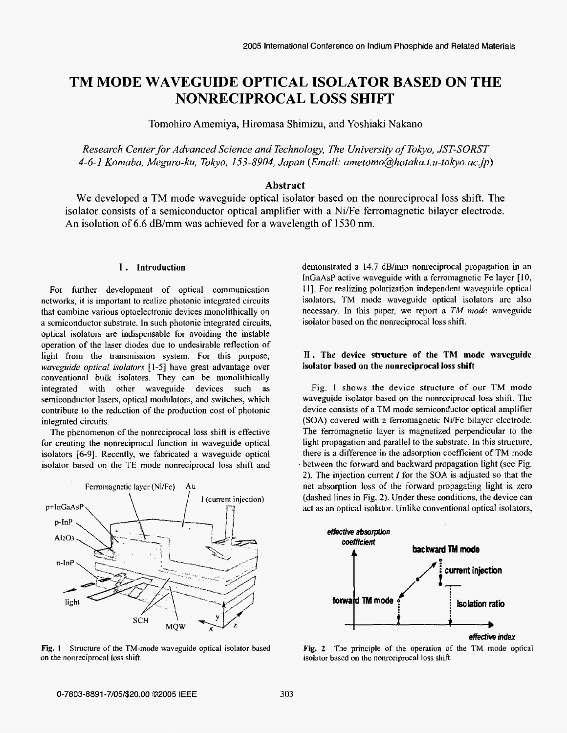# **TM MODE WAVEGUIDE OPTICAL ISOLATOR BASED ON THE NONRECIPROCAL LOSS SHIFT**

Tomohiro Amemiya, Hiromasa Shimizu, and Yoshiaki Nakano

*Research Center for Advanced Science and Technology, The University of Tokyo, JST-SURST 4-6-1 Komaba, Mepro-ku, Tokyo, 153-8904, Japan (Email: ametomo@hotaka.t.u-tokyo.ac,jp)* 

## **Abstract**

We developed a TM mode waveguide optical isolator based on the nonreciprocal loss shift. The isolator consists of a semiconductor optical **amplifier** with a NiiFe ferromagnetic bilayer electrode. **An** isolation of 6.6 dB/mm was achieved for a wavelength of 1530 nm.

#### **I. Introduction**

For further development **of** optical communication networks, it is important **to** realize photonic integrated circuits that combine various optoelectronic devices monolithically on a semiconductor substrate. In such photonic integrated circuits, optical isolators are indispensable for avoiding the instable operation **of** the laser diodes due **to** undesirable reflection of light from the transmission system. For this purpose, *waveguide optical isolators* [ 1-51 have great advantage over conventional bulk isolators. They can be monolithically integrated with other waveguide devices such as semiconductor lasers, optical modulators, and switches, **which**  contribute to the reduction of **the** production cost **of** photonic integrated circuits.

The phenomenon of the nonreciprocal loss shift is effective for creating the nonreciprocal function in waveguide optical isolators [6-9]. Recently, we fabricated a waveguide optical isolator **based** on **the** TE mode nonreciprocal loss shift and-



**Fig. 1**  Structure of **the** TM-mode **waveguide optical isolator based**  on the nonreciprocal loss shift.

demonstrated a 14.7 dB/mm nonreciprocal propagation in an InGaAsP active waveguide with a ferromagnetic **Fe** layer **[IO, <sup>1</sup>I].** For realizing polarization independent waveguide optical isolators, TM mode waveguide optical isolators are also necessary. In this paper, we report a *TM mode* waveguide isolator based on the nonreciprocal **loss** shift.

## **II. The device structure of the TM mode waveguide isolator based on the nonreciprocal loss shift**

Fig. **I** shows the device structure **of** our TM mode waveguide isolator based on the nonreciprocal loss shift. The device consists of a TM mode semiconductor optical amplifier **(SOA)** covered with a ferromagnetic NiiFe bilayer electrode. The ferromagnetic layer is magnetized perpendicular **to** the light propagation and parallel to the substrate. **In** this structure, there is a difference in the adsorption coefficient **of TM** mode . between the forward and backward propagation light (see Fig. **2).** The injection current I for **the SOA** is adjusted so that the **net** absorption **loss** *of* the forward propagating light is zero (dashed lines in Fig. **2).** Under these conditions, the device can act **as** an optical isolator. Unlike conventional opticaI isolators,



Fig. 2 The principle of the operation of the TM mode optical isolator based on the nonreciprocal loss shift.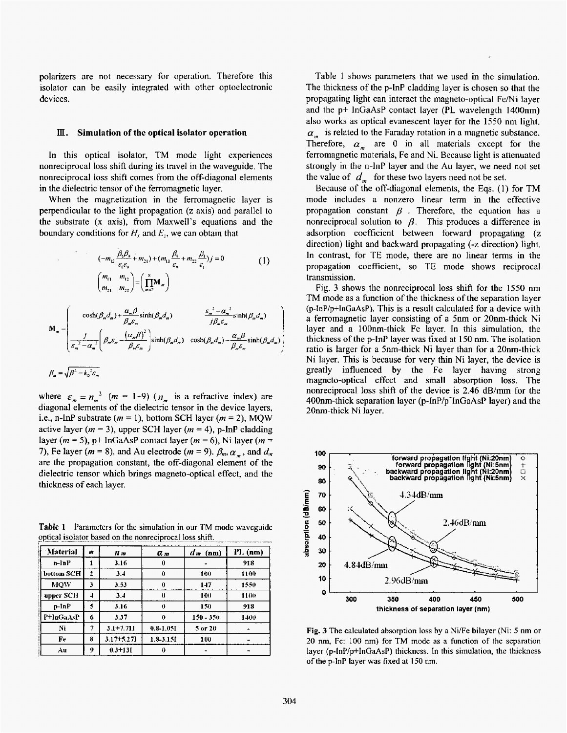polarizers are not necessary for operation. Therefore this isolator can be easily integrated with other optoelectronic devices.

#### III. **Simulation of the optical isolator operation**

In this optical isolator, TM mode light experiences nonreciprocal loss shift during its travel in the waveguide. The nonreciprocal loss shift comes from the off-diagonal elements in the dielectric tensor of the ferromagnetic layer.

When the magnetization in the ferromagnetic layer is perpendicular to the Iight propagation **(z** axis) and parallel **to**  the substrate **(x** axis), from Maxwell's equations and the boundary conditions for  $H_r$  and  $E_z$ , we can obtain that

$$
(-m_{12} \frac{\beta_{1}\beta_{9}}{\varepsilon_{1}\varepsilon_{9}} + m_{21}) + (m_{11} \frac{\beta_{9}}{\varepsilon_{9}} + m_{22} \frac{\beta_{1}}{\varepsilon_{1}})j = 0
$$
(1)  

$$
\binom{m_{11}}{m_{21}} \frac{m_{12}}{m_{22}} = \left(\prod_{m=2}^{8} M_{m}\right)
$$
  

$$
M_{m} = \begin{pmatrix} \cosh(\beta_{m}d_{m}) + \frac{\alpha_{m}\beta}{\beta_{m}\varepsilon_{m}}\sinh(\beta_{m}d_{m}) & \frac{\varepsilon_{m}^{2} - \alpha_{m}^{2}}{j\beta_{m}\varepsilon_{m}}\sinh(\beta_{m}d_{m}) \\ \frac{j}{\varepsilon_{m}^{2} - \alpha_{m}^{2}} \left(\beta_{m}\varepsilon_{m} - \frac{(\alpha_{m}\beta)^{2}}{\beta_{m}\varepsilon_{m}}\right)\sinh(\beta_{m}d_{m}) & \cosh(\beta_{m}d_{m}) - \frac{\alpha_{m}\beta}{\beta_{m}\varepsilon_{m}}\sinh(\beta_{m}d_{m}) \end{pmatrix}
$$
  

$$
\beta_{m} = \sqrt{\beta^{2} - k_{0}^{2} \varepsilon_{m}}
$$

where  $\varepsilon_m = n_m^2$  (*m* = 1-9) ( $n_m$  is a refractive index) are diagonal elements **of** the dielectric tensor in the device layers, i.e., n-InP substrate  $(m = 1)$ , bottom SCH layer  $(m = 2)$ , MQW active layer  $(m = 3)$ , upper SCH layer  $(m = 4)$ , p-lnP cladding layer ( $m = 5$ ),  $p$ + InGaAsP contact layer ( $m = 6$ ), Ni layer ( $m =$ 7), Fe layer ( $m = 8$ ), and Au electrode ( $m = 9$ ).  $\beta_m$ ,  $\alpha_m$ , and  $d_m$ are the propagation constant, the off-diagonal element **of the**  dielectric tensor which brings magneto-optical effect, and the thickness **of** each layer.

Table 1 Parameters for the simulation in our TM mode waveguide optical isolator based on the nonreciprocal loss shift.

| Material   | m | II m           | a <sub>m</sub> | $d$ <sub>m</sub> $(nm)$ | $PL$ (nm) |
|------------|---|----------------|----------------|-------------------------|-----------|
| n-InP      |   | 3.16           | 0              |                         | 918       |
| bottom SCH | 2 | 3.4            | 0              | 100                     | 1100      |
| <b>MOW</b> | 3 | 3.53           | $\theta$       | 147                     | 1550      |
| upper SCH  | 4 | 3.4            | 0              | 100                     | 1100      |
| n-InP      | 5 | 3.16           | û              | 150                     | 918       |
| P+InGaAsP  | 6 | 3.37           | $\bf{0}$       | $150 - 350$             | 1400      |
| Ni         |   | $3.1 + 7.711$  | $0.8 - 1.05$   | 5 or 20                 |           |
| Fe         | 8 | $3.17 + 5.271$ | $1.8 - 3.151$  | 100                     |           |
| Au         | 9 | $0.3 + 131$    | 0              |                         |           |

Table 1 shows parameters that we used in the simulation. The thickness of the p-lnP cladding layer is chosen *so* that the propagating light can interact the magneto-optical **FelNi** layer and the **p+** InGaAsP contact layer (PL wavelength 1400nm) also works as optical evanescent layer for the 1550 nm light.  $\alpha_n$  is related to the Faraday rotation in a magnetic substance. Therefore,  $\alpha_m$  are 0 in all materials except for the ferromagnetic materials, Fe and Ni. Because light is attenuated strongly **in** the n-InP layer and the Au layer, we **need** not set the value of  $d_{\text{m}}$  for these two layers need not be set.

Because of the off-diagonal elements, the Eqs. (1) for TM mode includes a nonzero linear term in the effective propagation constant  $\beta$ . Therefore, the equation has a nonreciprocal solution to  $\beta$ . This produces a difference in adsorption coefficient between forward propagating (z direction) lighk and **backward** propagating **(-z** direction) light. In contrast, for TE mode, there are no linear terms in the propagation coefficient, so TE mode shows reciprocal transmission.

Fig. 3 shows the nonreciprocal loss shift for the 1550 **nm**  TM mode **as** a function of the thickness of the separation layer **(p-InP/p+InGaAsP).** This is a result calculated for a device with **a** ferromagnetic layer consisting of **a** 5nm or 20nm-thick **Ni**  layer **and** a 100nm-thick Fe layer. In this simulation, the thickness **of** the p-InP layer was fixed at 150 nm. The isolation ratio is larger for a 5nm-thick Ni layer than for a 20nrn-thick Ni layer. This is because for very thin Ni layer, the device is greatly influenced **by** the Fe layer having strong magneto-optical effect and small absorption **loss.** The nonreciprocal **loss** shift of the device **is 2.46 dB/mm** for the 400nm-thick separation layer **(p-inP/p'lnGaAsP** layer) and the 20nm-thick Ni **layer.** 



Fig. **3** Tbe calculated absorption loss by a Niffe bilayer (Ni: *5* nm or 20 nm, Fe: 100 nm) for TM mode as a function of the **separation**  layer (p-lnP/p+InGaAsP) thickness. In this simulation, the thickness of the **p-lnP** layer was fixed at I50 **nm.**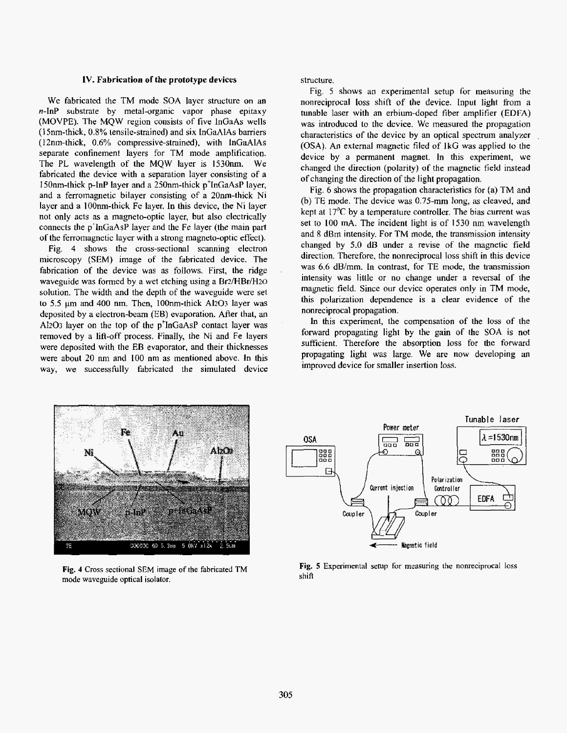#### **IV. Fabrication of the prototype devices**

We fabricated the TM mode **SOA** layer structure on **an n-InP** substrate by metal-organic vapor phase epitaxy (MOVPE). The MQW region consists of five InGaAs wells **(1** 5nm-thick, **0.8%** tensile-strained) and six **InGaAlAs** barriers (I 2nm-thick, *0.6%* compressive-strained), with InGaAlAs separate confinement layers for TM mode amplification. The PL wavelength of the MQW layer is 1530nm. We fabricated the device with a separation layer consisting of a 150nm-thick p-InP layer and a 250nm-thick p'1nCaAsP layer, and a ferromagnetic bilayer consisting of a 20nm-thick Ni layer and **a** 100nm-thick Fe layer. **In** this device, the **Ni** layer not only acts **as** a magneto-optic layer, but **also** electricalIy connects the p'tnGaAsP layer and the **Fe** layer (the main part of the ferromagnetic layer with a strong magneto-optic effect).

Fig. 4 shows the cross-sectional scanning electron microscopy **(SEM)** image of the fabricated device. The fabrication of the device was **as** follows. First, the ridge waveguide was formed by a wet etching using a  $Br<sub>2</sub>/HBr/H<sub>2O</sub>$ solution. The width and the depth of the waveguide were set to 5.5  $\mu$ m and 400 nm. Then, 100nm-thick Al<sub>2</sub>O<sub>3</sub> layer was deposited by a electron-beam (EB) evaporation. After that, an **,41203** layer on the top of the p'InGaAsP contact layer **was**  removed by a lift-off process. Finally, the Ni and Fe layers were deposited with the EB evaporator, and their thicknesses were about **20** nrn ,and 100 nm **as** mentioned above. **In** this way, we successfully fabricated the simulated device structure.

Fig. *5* shows an experimental setup **for** measuring the nonreciprocal loss shift of the device. Input light from a tunable laser with an erbium-doped fiber amplifier **(EDFA)**  was introduced to the device. We measured the propagation characteristics **of** the device by an optical spectrum analyzer **(OSA). An** external magnetic filed of **1kG was** applied to the device by a permanent magnet. **In this** experiment, we changed the direction (polarity) of the magnetic field instead of changing the direction of the light propagation.

Fig. *6* **shows** the **propagation** characteristics for (a) TM and **(6)** TE mode. The device was 0.75-mm long, **as** cleaved, and kept at 17'C by a temperature controller. The bias current **was set** to 100 mA. The incident light is of **1530** nm wavelength and **8** dBm intensity. For TM mode, the transmission intensity changed by **5.0** *dB* under a revise **of** the magnetic fjeld direction. Therefore, the nonreciprocal **loss** shift in this device **was 6.6** dB/mm. In contrast, for TE mode, the transmission intensity was little or no change under a reversal **of** the magnetic field. Since our device operates only in TM mode, this polarization dependence is a clear evidence of the nonreciprocal propagation.

In this experiment, the compensation of the **loss** of the forward propagating light by the gain of the **SOA** is not sufficient. Therefore the absorption loss for the forward propagating light was large. We are now developing an improved device for smaller insertion loss.



**Fig. 4 Cross** sectional SEM **image of the** fabricated TM **mode waveguide optical** isolator.



**Fig, 5 Experimental setup** for measuring **the** nonreciprocal loss **shift**